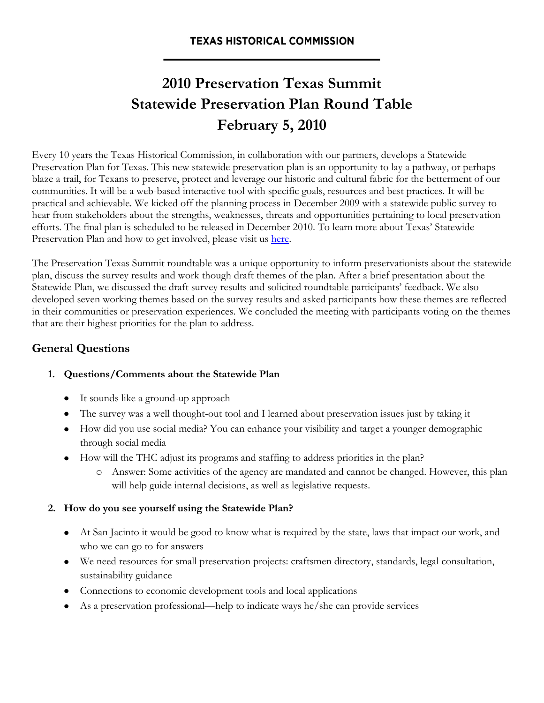# **2010 Preservation Texas Summit Statewide Preservation Plan Round Table February 5, 2010**

Every 10 years the Texas Historical Commission, in collaboration with our partners, develops a Statewide Preservation Plan for Texas. This new statewide preservation plan is an opportunity to lay a pathway, or perhaps blaze a trail, for Texans to preserve, protect and leverage our historic and cultural fabric for the betterment of our communities. It will be a web-based interactive tool with specific goals, resources and best practices. It will be practical and achievable. We kicked off the planning process in December 2009 with a statewide public survey to hear from stakeholders about the strengths, weaknesses, threats and opportunities pertaining to local preservation efforts. The final plan is scheduled to be released in December 2010. To learn more about Texas' Statewide Preservation Plan and how to get involved, please visit us [here.](http://www.thc.state.tx.us/statewideplan/swpdefault.shtml)

The Preservation Texas Summit roundtable was a unique opportunity to inform preservationists about the statewide plan, discuss the survey results and work though draft themes of the plan. After a brief presentation about the Statewide Plan, we discussed the draft survey results and solicited roundtable participants' feedback. We also developed seven working themes based on the survey results and asked participants how these themes are reflected in their communities or preservation experiences. We concluded the meeting with participants voting on the themes that are their highest priorities for the plan to address.

# **General Questions**

## **1. Questions/Comments about the Statewide Plan**

- It sounds like a ground-up approach
- The survey was a well thought-out tool and I learned about preservation issues just by taking it
- How did you use social media? You can enhance your visibility and target a younger demographic through social media
- How will the THC adjust its programs and staffing to address priorities in the plan?
	- o Answer: Some activities of the agency are mandated and cannot be changed. However, this plan will help guide internal decisions, as well as legislative requests.

## **2. How do you see yourself using the Statewide Plan?**

- At San Jacinto it would be good to know what is required by the state, laws that impact our work, and who we can go to for answers
- We need resources for small preservation projects: craftsmen directory, standards, legal consultation, sustainability guidance
- Connections to economic development tools and local applications
- As a preservation professional—help to indicate ways he/she can provide services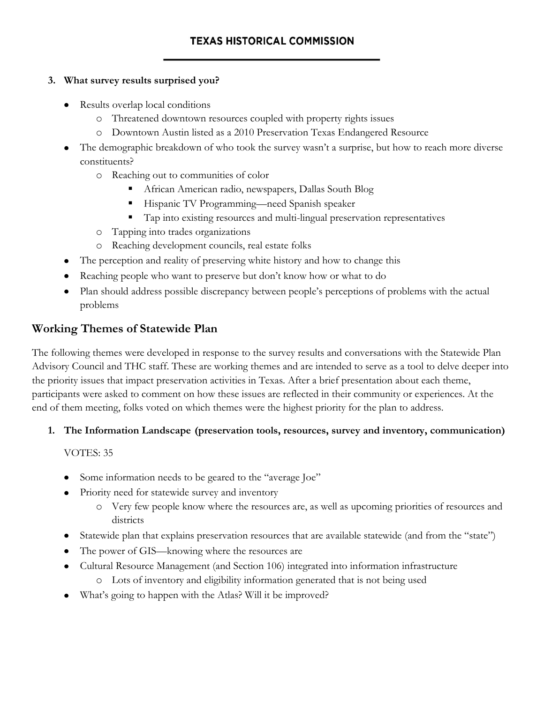#### **3. What survey results surprised you?**

- Results overlap local conditions
	- o Threatened downtown resources coupled with property rights issues
	- o Downtown Austin listed as a 2010 Preservation Texas Endangered Resource
- The demographic breakdown of who took the survey wasn't a surprise, but how to reach more diverse constituents?
	- o Reaching out to communities of color
		- African American radio, newspapers, Dallas South Blog
		- Hispanic TV Programming—need Spanish speaker
		- Tap into existing resources and multi-lingual preservation representatives
	- o Tapping into trades organizations
	- o Reaching development councils, real estate folks
- The perception and reality of preserving white history and how to change this
- Reaching people who want to preserve but don't know how or what to do
- Plan should address possible discrepancy between people's perceptions of problems with the actual problems

## **Working Themes of Statewide Plan**

The following themes were developed in response to the survey results and conversations with the Statewide Plan Advisory Council and THC staff. These are working themes and are intended to serve as a tool to delve deeper into the priority issues that impact preservation activities in Texas. After a brief presentation about each theme, participants were asked to comment on how these issues are reflected in their community or experiences. At the end of them meeting, folks voted on which themes were the highest priority for the plan to address.

## **1. The Information Landscape (preservation tools, resources, survey and inventory, communication)**

VOTES: 35

- Some information needs to be geared to the "average Joe"
- Priority need for statewide survey and inventory
	- o Very few people know where the resources are, as well as upcoming priorities of resources and districts
- Statewide plan that explains preservation resources that are available statewide (and from the "state")
- The power of GIS—knowing where the resources are
- Cultural Resource Management (and Section 106) integrated into information infrastructure  $\bullet$ 
	- o Lots of inventory and eligibility information generated that is not being used
- What's going to happen with the Atlas? Will it be improved?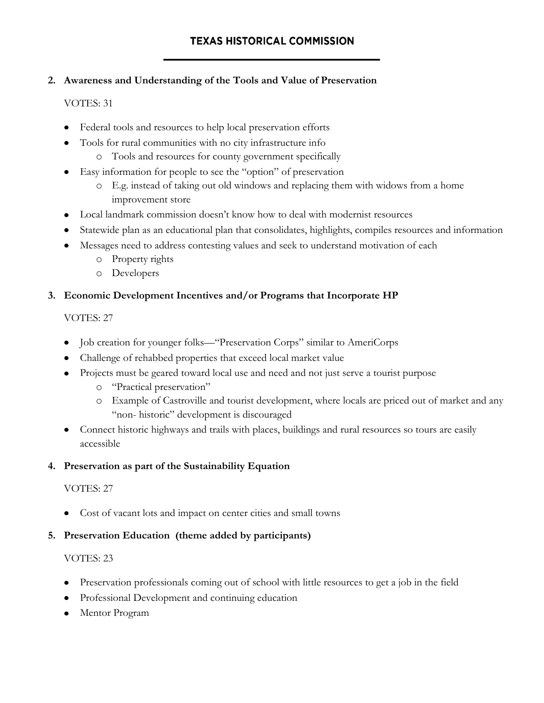## **2. Awareness and Understanding of the Tools and Value of Preservation**

## VOTES: 31

- Federal tools and resources to help local preservation efforts
- Tools for rural communities with no city infrastructure info
	- o Tools and resources for county government specifically
- Easy information for people to see the "option" of preservation
	- o E.g. instead of taking out old windows and replacing them with widows from a home improvement store
- Local landmark commission doesn't know how to deal with modernist resources
- Statewide plan as an educational plan that consolidates, highlights, compiles resources and information
- Messages need to address contesting values and seek to understand motivation of each
	- o Property rights
	- o Developers

## **3. Economic Development Incentives and/or Programs that Incorporate HP**

## VOTES: 27

- Job creation for younger folks—"Preservation Corps" similar to AmeriCorps
- Challenge of rehabbed properties that exceed local market value
- Projects must be geared toward local use and need and not just serve a tourist purpose  $\bullet$ 
	- o "Practical preservation"
	- o Example of Castroville and tourist development, where locals are priced out of market and any "non- historic" development is discouraged
- Connect historic highways and trails with places, buildings and rural resources so tours are easily accessible

## **4. Preservation as part of the Sustainability Equation**

# VOTES: 27

Cost of vacant lots and impact on center cities and small towns

# **5. Preservation Education (theme added by participants)**

# VOTES: 23

- Preservation professionals coming out of school with little resources to get a job in the field
- Professional Development and continuing education  $\bullet$
- Mentor Program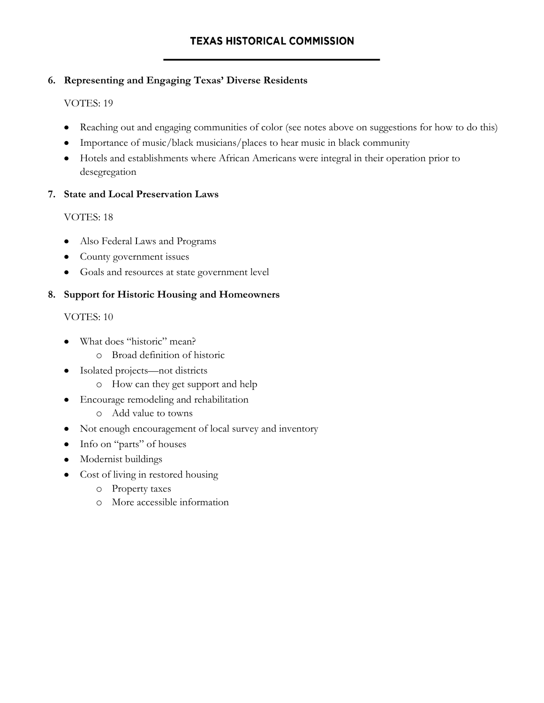## **6. Representing and Engaging Texas' Diverse Residents**

#### VOTES: 19

- Reaching out and engaging communities of color (see notes above on suggestions for how to do this)
- Importance of music/black musicians/places to hear music in black community
- Hotels and establishments where African Americans were integral in their operation prior to desegregation

#### **7. State and Local Preservation Laws**

#### VOTES: 18

- Also Federal Laws and Programs  $\bullet$
- County government issues  $\bullet$
- Goals and resources at state government level

#### **8. Support for Historic Housing and Homeowners**

#### VOTES: 10

- What does "historic" mean?
	- o Broad definition of historic
- Isolated projects—not districts  $\bullet$ 
	- o How can they get support and help
- Encourage remodeling and rehabilitation  $\bullet$ 
	- o Add value to towns
- Not enough encouragement of local survey and inventory
- Info on "parts" of houses
- Modernist buildings
- Cost of living in restored housing
	- o Property taxes
	- o More accessible information